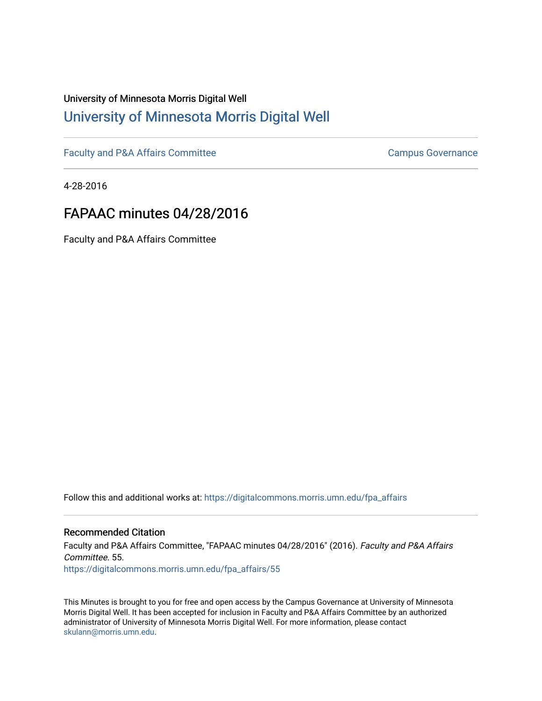## University of Minnesota Morris Digital Well [University of Minnesota Morris Digital Well](https://digitalcommons.morris.umn.edu/)

[Faculty and P&A Affairs Committee](https://digitalcommons.morris.umn.edu/fpa_affairs) [Campus Governance](https://digitalcommons.morris.umn.edu/campgov) Campus Governance

4-28-2016

## FAPAAC minutes 04/28/2016

Faculty and P&A Affairs Committee

Follow this and additional works at: [https://digitalcommons.morris.umn.edu/fpa\\_affairs](https://digitalcommons.morris.umn.edu/fpa_affairs?utm_source=digitalcommons.morris.umn.edu%2Ffpa_affairs%2F55&utm_medium=PDF&utm_campaign=PDFCoverPages)

## Recommended Citation

Faculty and P&A Affairs Committee, "FAPAAC minutes 04/28/2016" (2016). Faculty and P&A Affairs Committee. 55. [https://digitalcommons.morris.umn.edu/fpa\\_affairs/55](https://digitalcommons.morris.umn.edu/fpa_affairs/55?utm_source=digitalcommons.morris.umn.edu%2Ffpa_affairs%2F55&utm_medium=PDF&utm_campaign=PDFCoverPages) 

This Minutes is brought to you for free and open access by the Campus Governance at University of Minnesota Morris Digital Well. It has been accepted for inclusion in Faculty and P&A Affairs Committee by an authorized administrator of University of Minnesota Morris Digital Well. For more information, please contact [skulann@morris.umn.edu.](mailto:skulann@morris.umn.edu)